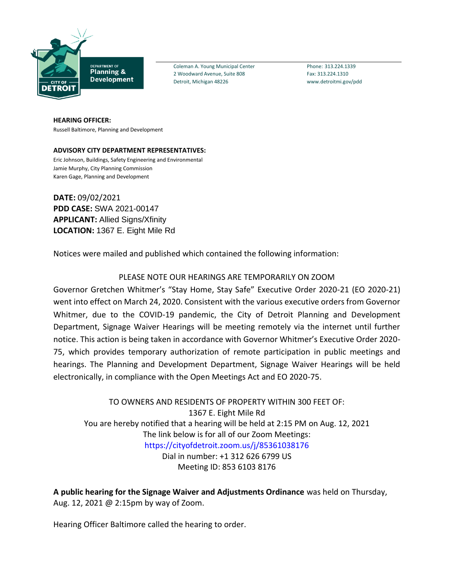

Coleman A. Young Municipal Center Phone: 313.224.1339 2 Woodward Avenue, Suite 808 Fax: 313.224.1310 Detroit, Michigan 48226 www.detroitmi.gov/pdd

**HEARING OFFICER:** Russell Baltimore, Planning and Development

**ADVISORY CITY DEPARTMENT REPRESENTATIVES:** Eric Johnson, Buildings, Safety Engineering and Environmental Jamie Murphy, City Planning Commission Karen Gage, Planning and Development

**DATE:** 09/02/2021 **PDD CASE:** SWA 2021-00147 **APPLICANT:** Allied Signs/Xfinity **LOCATION:** 1367 E. Eight Mile Rd

Notices were mailed and published which contained the following information:

## PLEASE NOTE OUR HEARINGS ARE TEMPORARILY ON ZOOM

Governor Gretchen Whitmer's "Stay Home, Stay Safe" Executive Order 2020-21 (EO 2020-21) went into effect on March 24, 2020. Consistent with the various executive orders from Governor Whitmer, due to the COVID-19 pandemic, the City of Detroit Planning and Development Department, Signage Waiver Hearings will be meeting remotely via the internet until further notice. This action is being taken in accordance with Governor Whitmer's Executive Order 2020- 75, which provides temporary authorization of remote participation in public meetings and hearings. The Planning and Development Department, Signage Waiver Hearings will be held electronically, in compliance with the Open Meetings Act and EO 2020-75.

TO OWNERS AND RESIDENTS OF PROPERTY WITHIN 300 FEET OF: 1367 E. Eight Mile Rd You are hereby notified that a hearing will be held at 2:15 PM on Aug. 12, 2021 The link below is for all of our Zoom Meetings: https://cityofdetroit.zoom.us/j/85361038176 Dial in number: +1 312 626 6799 US Meeting ID: 853 6103 8176

**A public hearing for the Signage Waiver and Adjustments Ordinance** was held on Thursday, Aug. 12, 2021 @ 2:15pm by way of Zoom.

Hearing Officer Baltimore called the hearing to order.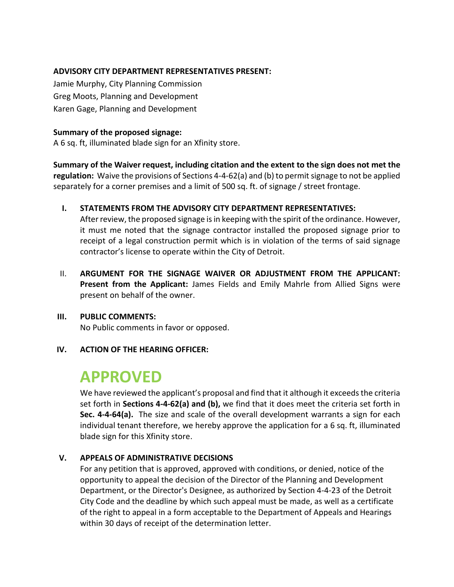### **ADVISORY CITY DEPARTMENT REPRESENTATIVES PRESENT:**

Jamie Murphy, City Planning Commission Greg Moots, Planning and Development Karen Gage, Planning and Development

#### **Summary of the proposed signage:**

A 6 sq. ft, illuminated blade sign for an Xfinity store.

**Summary of the Waiver request, including citation and the extent to the sign does not met the regulation:** Waive the provisions of Sections 4-4-62(a) and (b) to permit signage to not be applied separately for a corner premises and a limit of 500 sq. ft. of signage / street frontage.

### **I. STATEMENTS FROM THE ADVISORY CITY DEPARTMENT REPRESENTATIVES:**

After review, the proposed signage is in keeping with the spirit of the ordinance. However, it must me noted that the signage contractor installed the proposed signage prior to receipt of a legal construction permit which is in violation of the terms of said signage contractor's license to operate within the City of Detroit.

II. **ARGUMENT FOR THE SIGNAGE WAIVER OR ADJUSTMENT FROM THE APPLICANT: Present from the Applicant:** James Fields and Emily Mahrle from Allied Signs were present on behalf of the owner.

## **III. PUBLIC COMMENTS:**

No Public comments in favor or opposed.

#### **IV. ACTION OF THE HEARING OFFICER:**

# **APPROVED**

We have reviewed the applicant's proposal and find that it although it exceeds the criteria set forth in **Sections 4-4-62(a) and (b),** we find that it does meet the criteria set forth in **Sec. 4-4-64(a).** The size and scale of the overall development warrants a sign for each individual tenant therefore, we hereby approve the application for a 6 sq. ft, illuminated blade sign for this Xfinity store.

## **V. APPEALS OF ADMINISTRATIVE DECISIONS**

For any petition that is approved, approved with conditions, or denied, notice of the opportunity to appeal the decision of the Director of the Planning and Development Department, or the Director's Designee, as authorized by Section 4-4-23 of the Detroit City Code and the deadline by which such appeal must be made, as well as a certificate of the right to appeal in a form acceptable to the Department of Appeals and Hearings within 30 days of receipt of the determination letter.